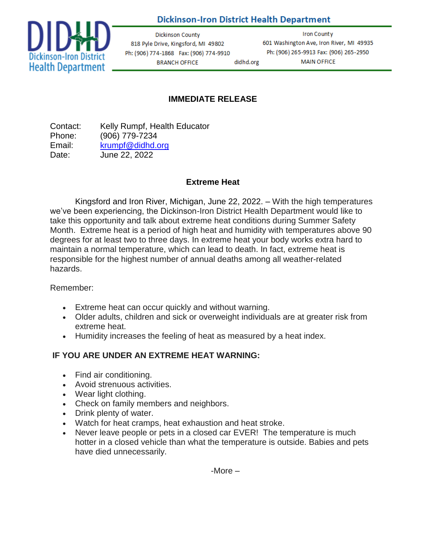# **Dickinson-Iron District Health Department**

didhd.org



**Dickinson County** 818 Pyle Drive, Kingsford, MI 49802 Ph: (906) 774-1868 Fax: (906) 774-9910 **BRANCH OFFICE** 

**Iron County** 601 Washington Ave, Iron River, MI 49935 Ph: (906) 265-9913 Fax: (906) 265-2950 **MAIN OFFICE** 

# **IMMEDIATE RELEASE**

Contact: Kelly Rumpf, Health Educator Phone: (906) 779-7234 Email: [krumpf@didhd.org](mailto:krumpf@didhd.org) Date: June 22, 2022

#### **Extreme Heat**

Kingsford and Iron River, Michigan, June 22, 2022. – With the high temperatures we've been experiencing, the Dickinson-Iron District Health Department would like to take this opportunity and talk about extreme heat conditions during Summer Safety Month. Extreme heat is a period of high heat and humidity with temperatures above 90 degrees for at least two to three days. In extreme heat your body works extra hard to maintain a normal temperature, which can lead to death. In fact, extreme heat is responsible for the highest number of annual deaths among all weather-related hazards.

Remember:

- Extreme heat can occur quickly and without warning.
- Older adults, children and sick or overweight individuals are at greater risk from extreme heat.
- Humidity increases the feeling of heat as measured by a heat index.

# **IF YOU ARE UNDER AN EXTREME HEAT WARNING:**

- Find air conditioning.
- Avoid strenuous activities.
- Wear light clothing.
- Check on family members and neighbors.
- Drink plenty of water.
- Watch for heat cramps, heat exhaustion and heat stroke.
- Never leave people or pets in a closed car EVER! The temperature is much hotter in a closed vehicle than what the temperature is outside. Babies and pets have died unnecessarily.

-More –